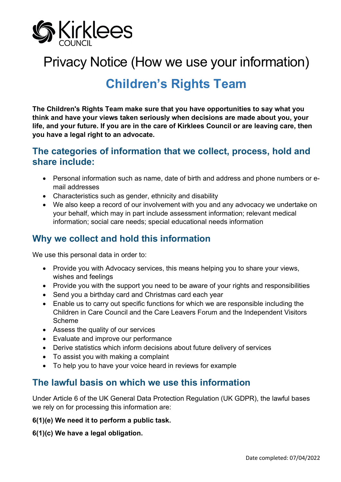

# Privacy Notice (How we use your information)

# **Children's Rights Team**

**The Children's Rights Team make sure that you have opportunities to say what you think and have your views taken seriously when decisions are made about you, your life, and your future. If you are in the care of Kirklees Council or are leaving care, then you have a legal right to an advocate.**

### **The categories of information that we collect, process, hold and share include:**

- Personal information such as name, date of birth and address and phone numbers or email addresses
- Characteristics such as gender, ethnicity and disability
- We also keep a record of our involvement with you and any advocacy we undertake on your behalf, which may in part include assessment information; relevant medical information; social care needs; special educational needs information

## **Why we collect and hold this information**

We use this personal data in order to:

- Provide you with Advocacy services, this means helping you to share your views, wishes and feelings
- Provide you with the support you need to be aware of your rights and responsibilities
- Send you a birthday card and Christmas card each year
- Enable us to carry out specific functions for which we are responsible including the Children in Care Council and the Care Leavers Forum and the Independent Visitors Scheme
- Assess the quality of our services
- Evaluate and improve our performance
- Derive statistics which inform decisions about future delivery of services
- To assist you with making a complaint
- To help you to have your voice heard in reviews for example

## **The lawful basis on which we use this information**

Under Article 6 of the UK General Data Protection Regulation (UK GDPR), the lawful bases we rely on for processing this information are:

#### **6(1)(e) We need it to perform a public task.**

**6(1)(c) We have a legal obligation.**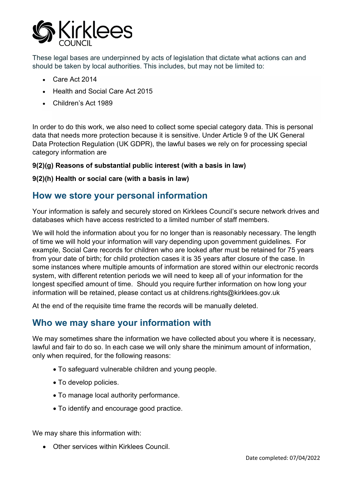

These legal bases are underpinned by acts of legislation that dictate what actions can and should be taken by local authorities. This includes, but may not be limited to:

- Care Act 2014
- Health and Social Care Act 2015
- Children's Act 1989

In order to do this work, we also need to collect some special category data. This is personal data that needs more protection because it is sensitive. Under Article 9 of the UK General Data Protection Regulation (UK GDPR), the lawful bases we rely on for processing special category information are

#### **9(2)(g) Reasons of substantial public interest (with a basis in law)**

#### **9(2)(h) Health or social care (with a basis in law)**

### **How we store your personal information**

Your information is safely and securely stored on Kirklees Council's secure network drives and databases which have access restricted to a limited number of staff members.

We will hold the information about you for no longer than is reasonably necessary. The length of time we will hold your information will vary depending upon government guidelines. For example, Social Care records for children who are looked after must be retained for 75 years from your date of birth; for child protection cases it is 35 years after closure of the case. In some instances where multiple amounts of information are stored within our electronic records system, with different retention periods we will need to keep all of your information for the longest specified amount of time. Should you require further information on how long your information will be retained, please contact us at childrens.rights@kirklees.gov.uk

At the end of the requisite time frame the records will be manually deleted.

## **Who we may share your information with**

We may sometimes share the information we have collected about you where it is necessary, lawful and fair to do so. In each case we will only share the minimum amount of information, only when required, for the following reasons:

- To safeguard vulnerable children and young people.
- To develop policies.
- To manage local authority performance.
- To identify and encourage good practice.

We may share this information with:

• Other services within Kirklees Council.